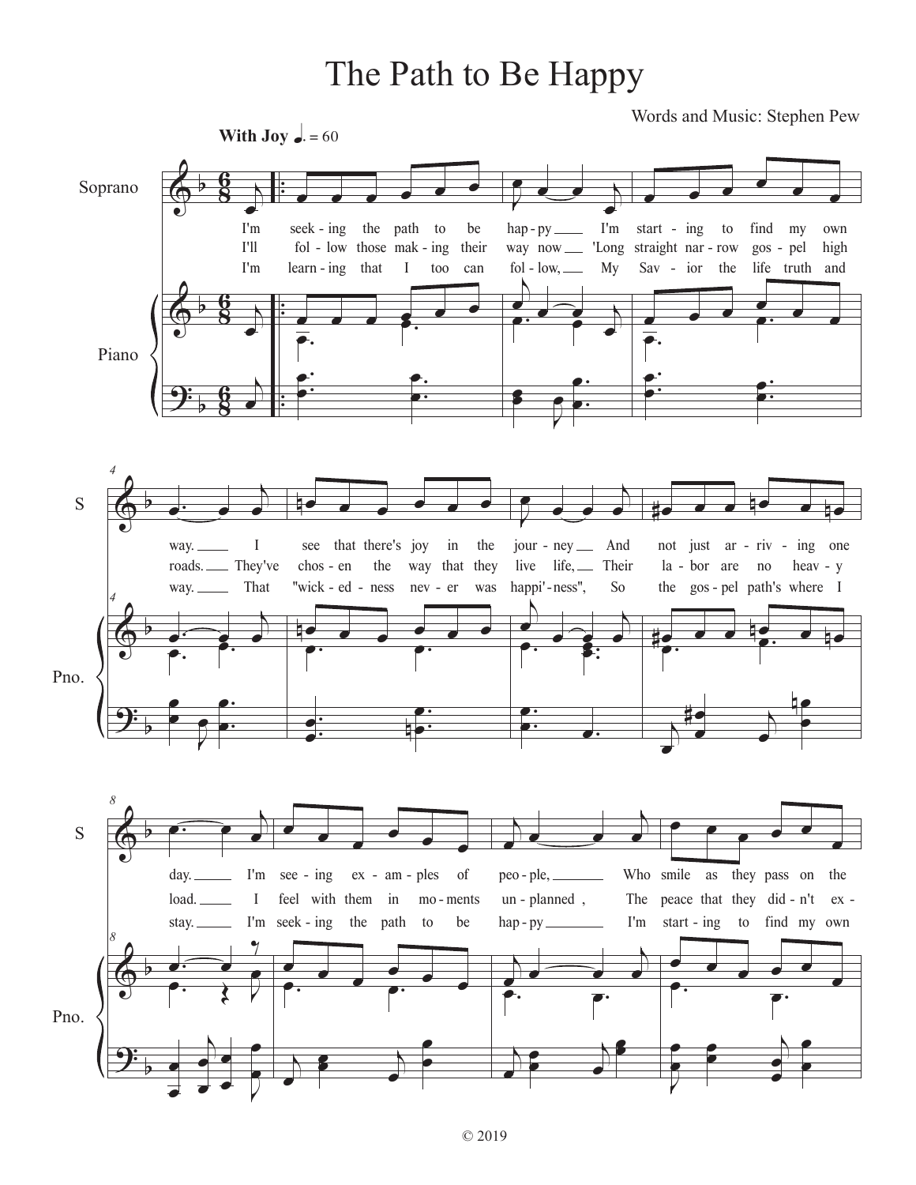## The Path to Be Happy

Words and Music: Stephen Pew